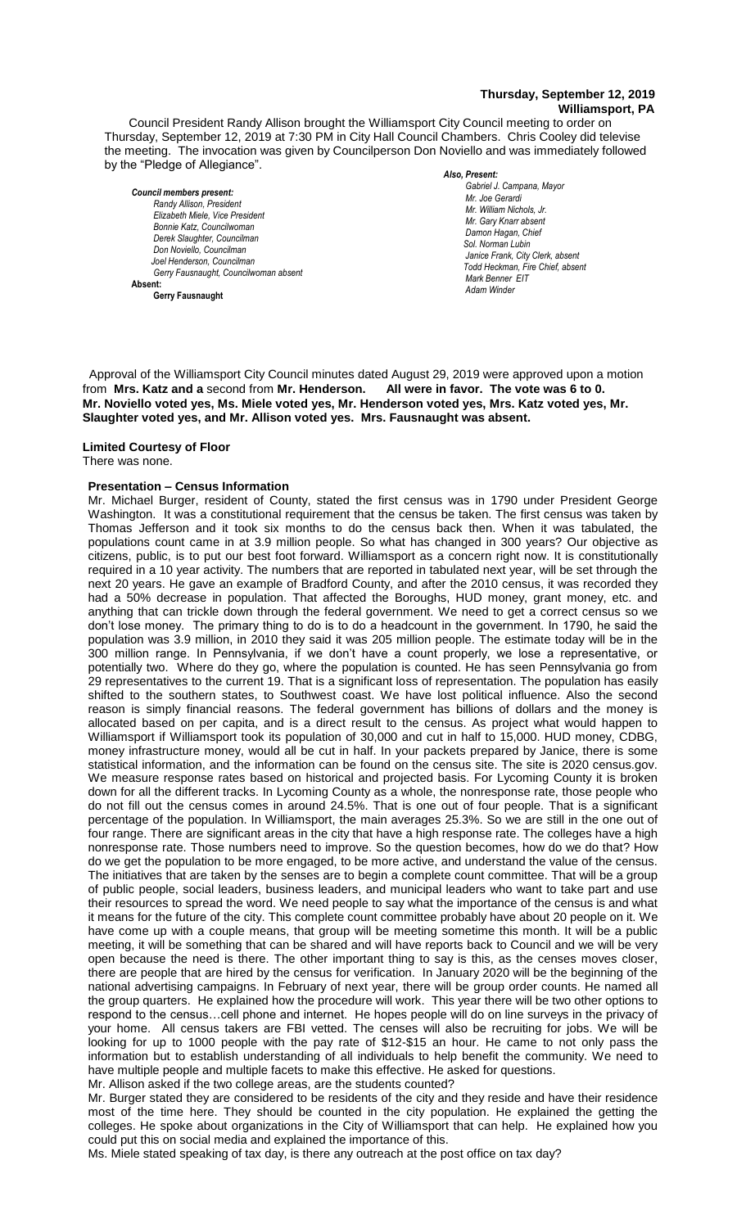#### **Thursday, September 12, 2019 Williamsport, PA**

Council President Randy Allison brought the Williamsport City Council meeting to order on Thursday, September 12, 2019 at 7:30 PM in City Hall Council Chambers. Chris Cooley did televise the meeting. The invocation was given by Councilperson Don Noviello and was immediately followed by the "Pledge of Allegiance".

*Council members present: Randy Allison, President , President*   $E$ lizabeth Miele, Vice President *Bonnie Katz, Councilwoman Derek Slaughter, Councilman Don Noviello, Councilman Joel Henderson, Councilman Gerry Fausnaught, Councilwoman absent* **Absent: Gerry Fausnaught**

*Also, Present:* 

Gabriel J. Campana, Mayor *Mr. Joe Gerardi Mr. William Nichols, Jr. Mr. Joe Pawlak Mr. Gary Knarr absent Damon Hagan, Chief Sol. Norman Lubin Janice Frank, City Clerk, absent Todd Heckman, Fire Chief, absent* **Adam Winder** *Adam Winder Adam Winder**Adam Winder**Adam Winder* **<b>***Adam Winder Mark Benner EIT Mr. Joe Pawlak Adam Winder*

 Approval of the Williamsport City Council minutes dated August 29, 2019 were approved upon a motion from **Mrs. Katz and a** second from **Mr. Henderson. All were in favor. The vote was 6 to 0.** *.*  **Mr. Noviello voted yes, Ms. Miele voted yes, Mr. Henderson voted yes, Mrs. Katz voted yes, Mr.**   *Mr. Gary Knarr*  **Slaughter voted yes, and Mr. Allison voted yes. Mrs. Fausnaught was absent.** *Mr. Tom Cillo C. Dean Heinbach, Fire Chief Mr. Joe Pawlak*

# **Limited Courtesy of Floor**

#### There was none.

# **Presentation – Census Information**

Mr. Michael Burger, resident of County, stated the first census was in 1790 under President George Washington. It was a constitutional requirement that the census be taken. The first census was taken by Thomas Jefferson and it took six months to do the census back then. When it was tabulated, the populations count came in at 3.9 million people. So what has changed in 300 years? Our objective as citizens, public, is to put our best foot forward. Williamsport as a concern right now. It is constitutionally *Members of News Media* required in a 10 year activity. The numbers that are reported in tabulated next year, will be set through the next 20 years. He gave an example of Bradford County, and after the 2010 census, it was recorded they had a 50% decrease in population. That affected the Boroughs, HUD money, grant money, etc. and anything that can trickle down through the federal government. We need to get a correct census so we don't lose money. The primary thing to do is to do a headcount in the government. In 1790, he said the population was 3.9 million, in 2010 they said it was 205 million people. The estimate today will be in the 300 million range. In Pennsylvania, if we don't have a count properly, we lose a representative, or potentially two. Where do they go, where the population is counted. He has seen Pennsylvania go from 29 representatives to the current 19. That is a significant loss of representation. The population has easily shifted to the southern states, to Southwest coast. We have lost political influence. Also the second reason is simply financial reasons. The federal government has billions of dollars and the money is allocated based on per capita, and is a direct result to the census. As project what would happen to Williamsport if Williamsport took its population of 30,000 and cut in half to 15,000. HUD money, CDBG, money infrastructure money, would all be cut in half. In your packets prepared by Janice, there is some statistical information, and the information can be found on the census site. The site is 2020 census.gov. We measure response rates based on historical and projected basis. For Lycoming County it is broken down for all the different tracks. In Lycoming County as a whole, the nonresponse rate, those people who do not fill out the census comes in around 24.5%. That is one out of four people. That is a significant percentage of the population. In Williamsport, the main averages 25.3%. So we are still in the one out of four range. There are significant areas in the city that have a high response rate. The colleges have a high nonresponse rate. Those numbers need to improve. So the question becomes, how do we do that? How do we get the population to be more engaged, to be more active, and understand the value of the census. The initiatives that are taken by the senses are to begin a complete count committee. That will be a group of public people, social leaders, business leaders, and municipal leaders who want to take part and use their resources to spread the word. We need people to say what the importance of the census is and what it means for the future of the city. This complete count committee probably have about 20 people on it. We have come up with a couple means, that group will be meeting sometime this month. It will be a public meeting, it will be something that can be shared and will have reports back to Council and we will be very open because the need is there. The other important thing to say is this, as the censes moves closer, there are people that are hired by the census for verification. In January 2020 will be the beginning of the national advertising campaigns. In February of next year, there will be group order counts. He named all the group quarters. He explained how the procedure will work. This year there will be two other options to respond to the census…cell phone and internet. He hopes people will do on line surveys in the privacy of your home. All census takers are FBI vetted. The censes will also be recruiting for jobs. We will be looking for up to 1000 people with the pay rate of \$12-\$15 an hour. He came to not only pass the information but to establish understanding of all individuals to help benefit the community. We need to have multiple people and multiple facets to make this effective. He asked for questions.

Mr. Allison asked if the two college areas, are the students counted?

Mr. Burger stated they are considered to be residents of the city and they reside and have their residence most of the time here. They should be counted in the city population. He explained the getting the colleges. He spoke about organizations in the City of Williamsport that can help. He explained how you could put this on social media and explained the importance of this.

Ms. Miele stated speaking of tax day, is there any outreach at the post office on tax day?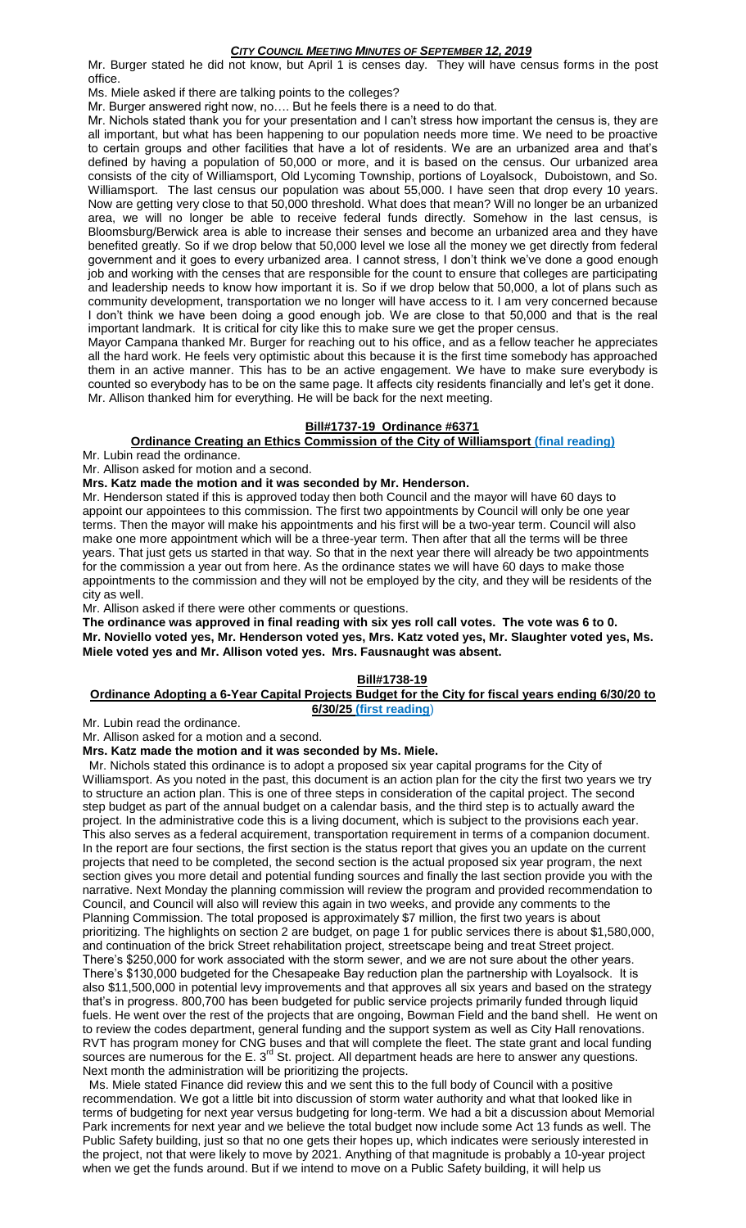Mr. Burger stated he did not know, but April 1 is censes day. They will have census forms in the post office.

Ms. Miele asked if there are talking points to the colleges?

Mr. Burger answered right now, no…. But he feels there is a need to do that.

Mr. Nichols stated thank you for your presentation and I can't stress how important the census is, they are all important, but what has been happening to our population needs more time. We need to be proactive to certain groups and other facilities that have a lot of residents. We are an urbanized area and that's defined by having a population of 50,000 or more, and it is based on the census. Our urbanized area consists of the city of Williamsport, Old Lycoming Township, portions of Loyalsock, Duboistown, and So. Williamsport. The last census our population was about 55,000. I have seen that drop every 10 years. Now are getting very close to that 50,000 threshold. What does that mean? Will no longer be an urbanized area, we will no longer be able to receive federal funds directly. Somehow in the last census, is Bloomsburg/Berwick area is able to increase their senses and become an urbanized area and they have benefited greatly. So if we drop below that 50,000 level we lose all the money we get directly from federal government and it goes to every urbanized area. I cannot stress, I don't think we've done a good enough job and working with the censes that are responsible for the count to ensure that colleges are participating and leadership needs to know how important it is. So if we drop below that 50,000, a lot of plans such as community development, transportation we no longer will have access to it. I am very concerned because I don't think we have been doing a good enough job. We are close to that 50,000 and that is the real important landmark. It is critical for city like this to make sure we get the proper census.

Mayor Campana thanked Mr. Burger for reaching out to his office, and as a fellow teacher he appreciates all the hard work. He feels very optimistic about this because it is the first time somebody has approached them in an active manner. This has to be an active engagement. We have to make sure everybody is counted so everybody has to be on the same page. It affects city residents financially and let's get it done. Mr. Allison thanked him for everything. He will be back for the next meeting.

# **Bill#1737-19 Ordinance #6371**

# **Ordinance Creating an Ethics Commission of the City of Williamsport (final reading)**

Mr. Lubin read the ordinance.

Mr. Allison asked for motion and a second.

**Mrs. Katz made the motion and it was seconded by Mr. Henderson.**

Mr. Henderson stated if this is approved today then both Council and the mayor will have 60 days to appoint our appointees to this commission. The first two appointments by Council will only be one year terms. Then the mayor will make his appointments and his first will be a two-year term. Council will also make one more appointment which will be a three-year term. Then after that all the terms will be three years. That just gets us started in that way. So that in the next year there will already be two appointments for the commission a year out from here. As the ordinance states we will have 60 days to make those appointments to the commission and they will not be employed by the city, and they will be residents of the city as well.

Mr. Allison asked if there were other comments or questions.

**The ordinance was approved in final reading with six yes roll call votes. The vote was 6 to 0. Mr. Noviello voted yes, Mr. Henderson voted yes, Mrs. Katz voted yes, Mr. Slaughter voted yes, Ms. Miele voted yes and Mr. Allison voted yes. Mrs. Fausnaught was absent.**

#### **Bill#1738-19**

#### **Ordinance Adopting a 6-Year Capital Projects Budget for the City for fiscal years ending 6/30/20 to 6/30/25 (first reading**)

Mr. Lubin read the ordinance.

Mr. Allison asked for a motion and a second.

#### **Mrs. Katz made the motion and it was seconded by Ms. Miele.**

 Mr. Nichols stated this ordinance is to adopt a proposed six year capital programs for the City of Williamsport. As you noted in the past, this document is an action plan for the city the first two years we try to structure an action plan. This is one of three steps in consideration of the capital project. The second step budget as part of the annual budget on a calendar basis, and the third step is to actually award the project. In the administrative code this is a living document, which is subject to the provisions each year. This also serves as a federal acquirement, transportation requirement in terms of a companion document. In the report are four sections, the first section is the status report that gives you an update on the current projects that need to be completed, the second section is the actual proposed six year program, the next section gives you more detail and potential funding sources and finally the last section provide you with the narrative. Next Monday the planning commission will review the program and provided recommendation to Council, and Council will also will review this again in two weeks, and provide any comments to the Planning Commission. The total proposed is approximately \$7 million, the first two years is about prioritizing. The highlights on section 2 are budget, on page 1 for public services there is about \$1,580,000, and continuation of the brick Street rehabilitation project, streetscape being and treat Street project. There's \$250,000 for work associated with the storm sewer, and we are not sure about the other years. There's \$130,000 budgeted for the Chesapeake Bay reduction plan the partnership with Loyalsock. It is also \$11,500,000 in potential levy improvements and that approves all six years and based on the strategy that's in progress. 800,700 has been budgeted for public service projects primarily funded through liquid fuels. He went over the rest of the projects that are ongoing, Bowman Field and the band shell. He went on to review the codes department, general funding and the support system as well as City Hall renovations. RVT has program money for CNG buses and that will complete the fleet. The state grant and local funding sources are numerous for the E. 3<sup>rd</sup> St. project. All department heads are here to answer any questions. Next month the administration will be prioritizing the projects.

 Ms. Miele stated Finance did review this and we sent this to the full body of Council with a positive recommendation. We got a little bit into discussion of storm water authority and what that looked like in terms of budgeting for next year versus budgeting for long-term. We had a bit a discussion about Memorial Park increments for next year and we believe the total budget now include some Act 13 funds as well. The Public Safety building, just so that no one gets their hopes up, which indicates were seriously interested in the project, not that were likely to move by 2021. Anything of that magnitude is probably a 10-year project when we get the funds around. But if we intend to move on a Public Safety building, it will help us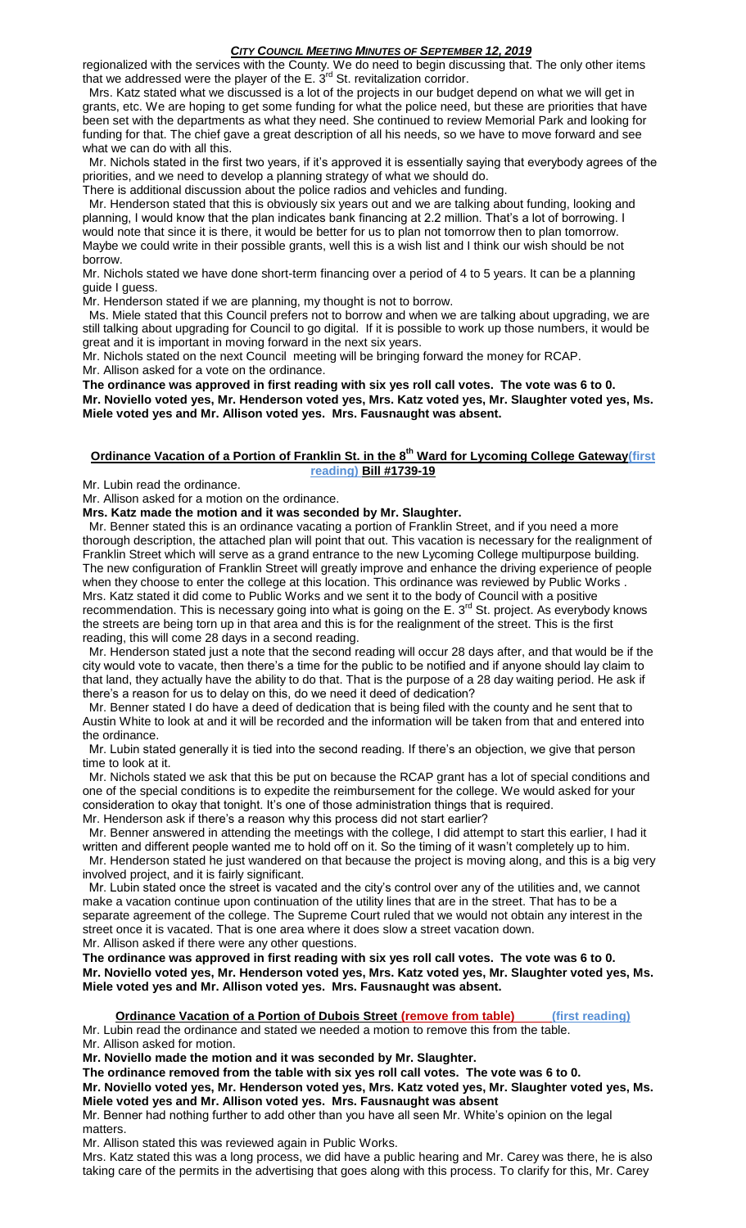regionalized with the services with the County. We do need to begin discussing that. The only other items that we addressed were the player of the E.  $3<sup>rd</sup>$  St. revitalization corridor.

 Mrs. Katz stated what we discussed is a lot of the projects in our budget depend on what we will get in grants, etc. We are hoping to get some funding for what the police need, but these are priorities that have been set with the departments as what they need. She continued to review Memorial Park and looking for funding for that. The chief gave a great description of all his needs, so we have to move forward and see what we can do with all this.

 Mr. Nichols stated in the first two years, if it's approved it is essentially saying that everybody agrees of the priorities, and we need to develop a planning strategy of what we should do.

There is additional discussion about the police radios and vehicles and funding.

 Mr. Henderson stated that this is obviously six years out and we are talking about funding, looking and planning, I would know that the plan indicates bank financing at 2.2 million. That's a lot of borrowing. I would note that since it is there, it would be better for us to plan not tomorrow then to plan tomorrow. Maybe we could write in their possible grants, well this is a wish list and I think our wish should be not borrow.

Mr. Nichols stated we have done short-term financing over a period of 4 to 5 years. It can be a planning guide I guess.

Mr. Henderson stated if we are planning, my thought is not to borrow.

 Ms. Miele stated that this Council prefers not to borrow and when we are talking about upgrading, we are still talking about upgrading for Council to go digital. If it is possible to work up those numbers, it would be great and it is important in moving forward in the next six years.

Mr. Nichols stated on the next Council meeting will be bringing forward the money for RCAP. Mr. Allison asked for a vote on the ordinance.

**The ordinance was approved in first reading with six yes roll call votes. The vote was 6 to 0. Mr. Noviello voted yes, Mr. Henderson voted yes, Mrs. Katz voted yes, Mr. Slaughter voted yes, Ms. Miele voted yes and Mr. Allison voted yes. Mrs. Fausnaught was absent.**

## **Ordinance Vacation of a Portion of Franklin St. in the 8th Ward for Lycoming College Gateway(first reading) Bill #1739-19**

Mr. Lubin read the ordinance.

Mr. Allison asked for a motion on the ordinance.

**Mrs. Katz made the motion and it was seconded by Mr. Slaughter.**

 Mr. Benner stated this is an ordinance vacating a portion of Franklin Street, and if you need a more thorough description, the attached plan will point that out. This vacation is necessary for the realignment of Franklin Street which will serve as a grand entrance to the new Lycoming College multipurpose building. The new configuration of Franklin Street will greatly improve and enhance the driving experience of people when they choose to enter the college at this location. This ordinance was reviewed by Public Works . Mrs. Katz stated it did come to Public Works and we sent it to the body of Council with a positive recommendation. This is necessary going into what is going on the E. 3<sup>rd</sup> St. project. As everybody knows the streets are being torn up in that area and this is for the realignment of the street. This is the first reading, this will come 28 days in a second reading.

 Mr. Henderson stated just a note that the second reading will occur 28 days after, and that would be if the city would vote to vacate, then there's a time for the public to be notified and if anyone should lay claim to that land, they actually have the ability to do that. That is the purpose of a 28 day waiting period. He ask if there's a reason for us to delay on this, do we need it deed of dedication?

 Mr. Benner stated I do have a deed of dedication that is being filed with the county and he sent that to Austin White to look at and it will be recorded and the information will be taken from that and entered into the ordinance.

 Mr. Lubin stated generally it is tied into the second reading. If there's an objection, we give that person time to look at it.

 Mr. Nichols stated we ask that this be put on because the RCAP grant has a lot of special conditions and one of the special conditions is to expedite the reimbursement for the college. We would asked for your consideration to okay that tonight. It's one of those administration things that is required.

Mr. Henderson ask if there's a reason why this process did not start earlier?

 Mr. Benner answered in attending the meetings with the college, I did attempt to start this earlier, I had it written and different people wanted me to hold off on it. So the timing of it wasn't completely up to him. Mr. Henderson stated he just wandered on that because the project is moving along, and this is a big very involved project, and it is fairly significant.

 Mr. Lubin stated once the street is vacated and the city's control over any of the utilities and, we cannot make a vacation continue upon continuation of the utility lines that are in the street. That has to be a separate agreement of the college. The Supreme Court ruled that we would not obtain any interest in the street once it is vacated. That is one area where it does slow a street vacation down. Mr. Allison asked if there were any other questions.

**The ordinance was approved in first reading with six yes roll call votes. The vote was 6 to 0. Mr. Noviello voted yes, Mr. Henderson voted yes, Mrs. Katz voted yes, Mr. Slaughter voted yes, Ms. Miele voted yes and Mr. Allison voted yes. Mrs. Fausnaught was absent.**

**Ordinance Vacation of a Portion of Dubois Street (remove from table) (first reading)**

Mr. Lubin read the ordinance and stated we needed a motion to remove this from the table. Mr. Allison asked for motion.

**Mr. Noviello made the motion and it was seconded by Mr. Slaughter.**

**The ordinance removed from the table with six yes roll call votes. The vote was 6 to 0.**

**Mr. Noviello voted yes, Mr. Henderson voted yes, Mrs. Katz voted yes, Mr. Slaughter voted yes, Ms. Miele voted yes and Mr. Allison voted yes. Mrs. Fausnaught was absent**

Mr. Benner had nothing further to add other than you have all seen Mr. White's opinion on the legal matters.

Mr. Allison stated this was reviewed again in Public Works.

Mrs. Katz stated this was a long process, we did have a public hearing and Mr. Carey was there, he is also taking care of the permits in the advertising that goes along with this process. To clarify for this, Mr. Carey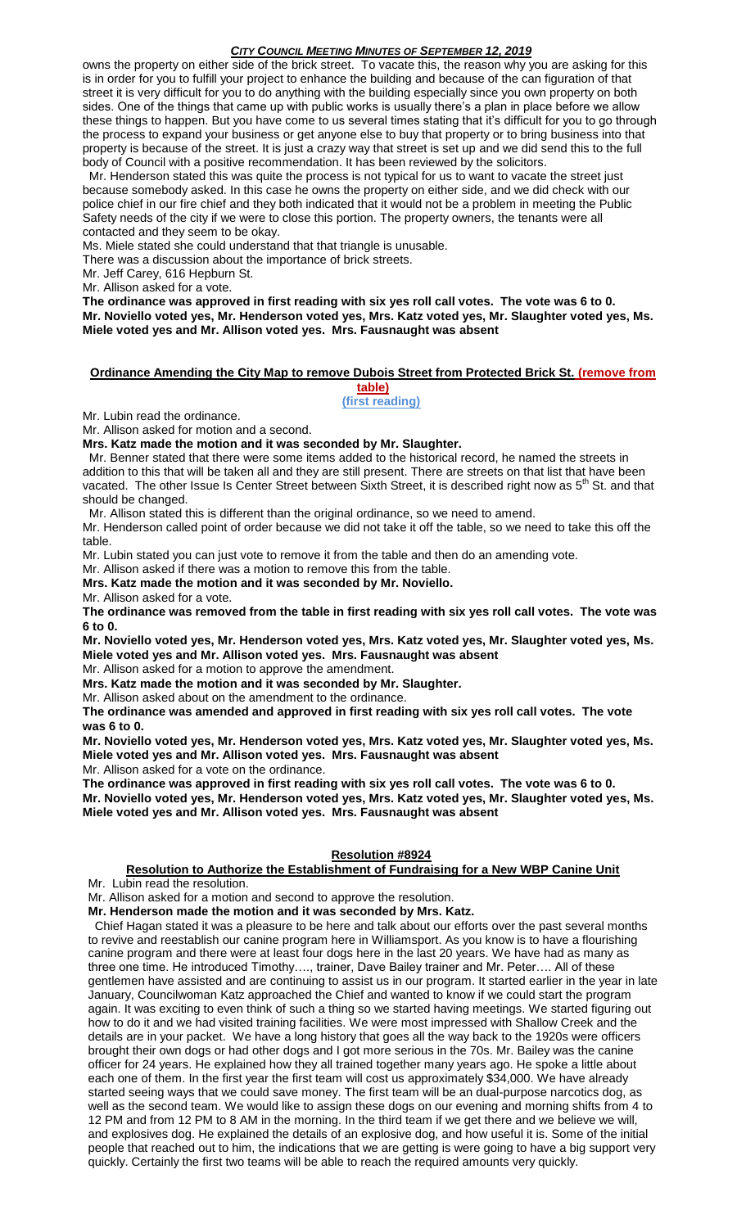owns the property on either side of the brick street. To vacate this, the reason why you are asking for this is in order for you to fulfill your project to enhance the building and because of the can figuration of that street it is very difficult for you to do anything with the building especially since you own property on both sides. One of the things that came up with public works is usually there's a plan in place before we allow these things to happen. But you have come to us several times stating that it's difficult for you to go through the process to expand your business or get anyone else to buy that property or to bring business into that property is because of the street. It is just a crazy way that street is set up and we did send this to the full body of Council with a positive recommendation. It has been reviewed by the solicitors.

 Mr. Henderson stated this was quite the process is not typical for us to want to vacate the street just because somebody asked. In this case he owns the property on either side, and we did check with our police chief in our fire chief and they both indicated that it would not be a problem in meeting the Public Safety needs of the city if we were to close this portion. The property owners, the tenants were all contacted and they seem to be okay.

Ms. Miele stated she could understand that that triangle is unusable.

There was a discussion about the importance of brick streets.

Mr. Jeff Carey, 616 Hepburn St.

Mr. Allison asked for a vote.

**The ordinance was approved in first reading with six yes roll call votes. The vote was 6 to 0. Mr. Noviello voted yes, Mr. Henderson voted yes, Mrs. Katz voted yes, Mr. Slaughter voted yes, Ms. Miele voted yes and Mr. Allison voted yes. Mrs. Fausnaught was absent**

# **Ordinance Amending the City Map to remove Dubois Street from Protected Brick St. (remove from**

**table) (first reading)**

Mr. Lubin read the ordinance.

Mr. Allison asked for motion and a second.

**Mrs. Katz made the motion and it was seconded by Mr. Slaughter.**

 Mr. Benner stated that there were some items added to the historical record, he named the streets in addition to this that will be taken all and they are still present. There are streets on that list that have been vacated. The other Issue Is Center Street between Sixth Street, it is described right now as 5<sup>th</sup> St. and that should be changed.

Mr. Allison stated this is different than the original ordinance, so we need to amend.

Mr. Henderson called point of order because we did not take it off the table, so we need to take this off the table.

Mr. Lubin stated you can just vote to remove it from the table and then do an amending vote.

Mr. Allison asked if there was a motion to remove this from the table.

**Mrs. Katz made the motion and it was seconded by Mr. Noviello.**

Mr. Allison asked for a vote.

**The ordinance was removed from the table in first reading with six yes roll call votes. The vote was 6 to 0.**

**Mr. Noviello voted yes, Mr. Henderson voted yes, Mrs. Katz voted yes, Mr. Slaughter voted yes, Ms. Miele voted yes and Mr. Allison voted yes. Mrs. Fausnaught was absent**

Mr. Allison asked for a motion to approve the amendment.

**Mrs. Katz made the motion and it was seconded by Mr. Slaughter.**

Mr. Allison asked about on the amendment to the ordinance.

**The ordinance was amended and approved in first reading with six yes roll call votes. The vote was 6 to 0.**

**Mr. Noviello voted yes, Mr. Henderson voted yes, Mrs. Katz voted yes, Mr. Slaughter voted yes, Ms. Miele voted yes and Mr. Allison voted yes. Mrs. Fausnaught was absent**

Mr. Allison asked for a vote on the ordinance.

**The ordinance was approved in first reading with six yes roll call votes. The vote was 6 to 0.**

**Mr. Noviello voted yes, Mr. Henderson voted yes, Mrs. Katz voted yes, Mr. Slaughter voted yes, Ms. Miele voted yes and Mr. Allison voted yes. Mrs. Fausnaught was absent**

#### **Resolution #8924**

**Resolution to Authorize the Establishment of Fundraising for a New WBP Canine Unit** Mr. Lubin read the resolution.

Mr. Allison asked for a motion and second to approve the resolution.

**Mr. Henderson made the motion and it was seconded by Mrs. Katz.**

 Chief Hagan stated it was a pleasure to be here and talk about our efforts over the past several months to revive and reestablish our canine program here in Williamsport. As you know is to have a flourishing canine program and there were at least four dogs here in the last 20 years. We have had as many as three one time. He introduced Timothy…., trainer, Dave Bailey trainer and Mr. Peter…. All of these gentlemen have assisted and are continuing to assist us in our program. It started earlier in the year in late January, Councilwoman Katz approached the Chief and wanted to know if we could start the program again. It was exciting to even think of such a thing so we started having meetings. We started figuring out how to do it and we had visited training facilities. We were most impressed with Shallow Creek and the details are in your packet. We have a long history that goes all the way back to the 1920s were officers brought their own dogs or had other dogs and I got more serious in the 70s. Mr. Bailey was the canine officer for 24 years. He explained how they all trained together many years ago. He spoke a little about each one of them. In the first year the first team will cost us approximately \$34,000. We have already started seeing ways that we could save money. The first team will be an dual-purpose narcotics dog, as well as the second team. We would like to assign these dogs on our evening and morning shifts from 4 to 12 PM and from 12 PM to 8 AM in the morning. In the third team if we get there and we believe we will, and explosives dog. He explained the details of an explosive dog, and how useful it is. Some of the initial people that reached out to him, the indications that we are getting is were going to have a big support very quickly. Certainly the first two teams will be able to reach the required amounts very quickly.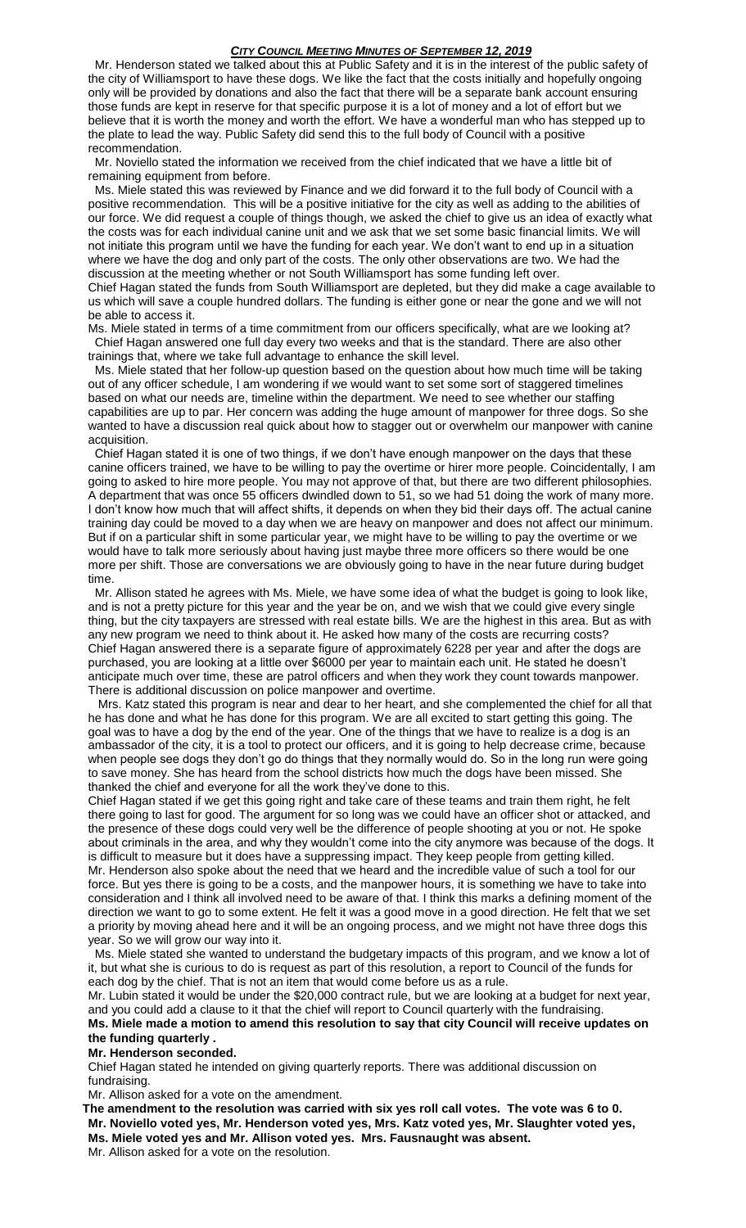Mr. Henderson stated we talked about this at Public Safety and it is in the interest of the public safety of the city of Williamsport to have these dogs. We like the fact that the costs initially and hopefully ongoing only will be provided by donations and also the fact that there will be a separate bank account ensuring those funds are kept in reserve for that specific purpose it is a lot of money and a lot of effort but we believe that it is worth the money and worth the effort. We have a wonderful man who has stepped up to the plate to lead the way. Public Safety did send this to the full body of Council with a positive recommendation.

 Mr. Noviello stated the information we received from the chief indicated that we have a little bit of remaining equipment from before.

 Ms. Miele stated this was reviewed by Finance and we did forward it to the full body of Council with a positive recommendation. This will be a positive initiative for the city as well as adding to the abilities of our force. We did request a couple of things though, we asked the chief to give us an idea of exactly what the costs was for each individual canine unit and we ask that we set some basic financial limits. We will not initiate this program until we have the funding for each year. We don't want to end up in a situation where we have the dog and only part of the costs. The only other observations are two. We had the discussion at the meeting whether or not South Williamsport has some funding left over. Chief Hagan stated the funds from South Williamsport are depleted, but they did make a cage available to us which will save a couple hundred dollars. The funding is either gone or near the gone and we will not be able to access it.

Ms. Miele stated in terms of a time commitment from our officers specifically, what are we looking at? Chief Hagan answered one full day every two weeks and that is the standard. There are also other trainings that, where we take full advantage to enhance the skill level.

 Ms. Miele stated that her follow-up question based on the question about how much time will be taking out of any officer schedule, I am wondering if we would want to set some sort of staggered timelines based on what our needs are, timeline within the department. We need to see whether our staffing capabilities are up to par. Her concern was adding the huge amount of manpower for three dogs. So she wanted to have a discussion real quick about how to stagger out or overwhelm our manpower with canine acquisition.

 Chief Hagan stated it is one of two things, if we don't have enough manpower on the days that these canine officers trained, we have to be willing to pay the overtime or hirer more people. Coincidentally, I am going to asked to hire more people. You may not approve of that, but there are two different philosophies. A department that was once 55 officers dwindled down to 51, so we had 51 doing the work of many more. I don't know how much that will affect shifts, it depends on when they bid their days off. The actual canine training day could be moved to a day when we are heavy on manpower and does not affect our minimum. But if on a particular shift in some particular year, we might have to be willing to pay the overtime or we would have to talk more seriously about having just maybe three more officers so there would be one more per shift. Those are conversations we are obviously going to have in the near future during budget time.

 Mr. Allison stated he agrees with Ms. Miele, we have some idea of what the budget is going to look like, and is not a pretty picture for this year and the year be on, and we wish that we could give every single thing, but the city taxpayers are stressed with real estate bills. We are the highest in this area. But as with any new program we need to think about it. He asked how many of the costs are recurring costs? Chief Hagan answered there is a separate figure of approximately 6228 per year and after the dogs are purchased, you are looking at a little over \$6000 per year to maintain each unit. He stated he doesn't anticipate much over time, these are patrol officers and when they work they count towards manpower. There is additional discussion on police manpower and overtime.

 Mrs. Katz stated this program is near and dear to her heart, and she complemented the chief for all that he has done and what he has done for this program. We are all excited to start getting this going. The goal was to have a dog by the end of the year. One of the things that we have to realize is a dog is an ambassador of the city, it is a tool to protect our officers, and it is going to help decrease crime, because when people see dogs they don't go do things that they normally would do. So in the long run were going to save money. She has heard from the school districts how much the dogs have been missed. She thanked the chief and everyone for all the work they've done to this.

Chief Hagan stated if we get this going right and take care of these teams and train them right, he felt there going to last for good. The argument for so long was we could have an officer shot or attacked, and the presence of these dogs could very well be the difference of people shooting at you or not. He spoke about criminals in the area, and why they wouldn't come into the city anymore was because of the dogs. It is difficult to measure but it does have a suppressing impact. They keep people from getting killed. Mr. Henderson also spoke about the need that we heard and the incredible value of such a tool for our force. But yes there is going to be a costs, and the manpower hours, it is something we have to take into consideration and I think all involved need to be aware of that. I think this marks a defining moment of the direction we want to go to some extent. He felt it was a good move in a good direction. He felt that we set a priority by moving ahead here and it will be an ongoing process, and we might not have three dogs this year. So we will grow our way into it.

 Ms. Miele stated she wanted to understand the budgetary impacts of this program, and we know a lot of it, but what she is curious to do is request as part of this resolution, a report to Council of the funds for each dog by the chief. That is not an item that would come before us as a rule.

Mr. Lubin stated it would be under the \$20,000 contract rule, but we are looking at a budget for next year, and you could add a clause to it that the chief will report to Council quarterly with the fundraising.

**Ms. Miele made a motion to amend this resolution to say that city Council will receive updates on the funding quarterly .**

# **Mr. Henderson seconded.**

Chief Hagan stated he intended on giving quarterly reports. There was additional discussion on fundraising.

Mr. Allison asked for a vote on the amendment.

**The amendment to the resolution was carried with six yes roll call votes. The vote was 6 to 0. Mr. Noviello voted yes, Mr. Henderson voted yes, Mrs. Katz voted yes, Mr. Slaughter voted yes, Ms. Miele voted yes and Mr. Allison voted yes. Mrs. Fausnaught was absent.** Mr. Allison asked for a vote on the resolution.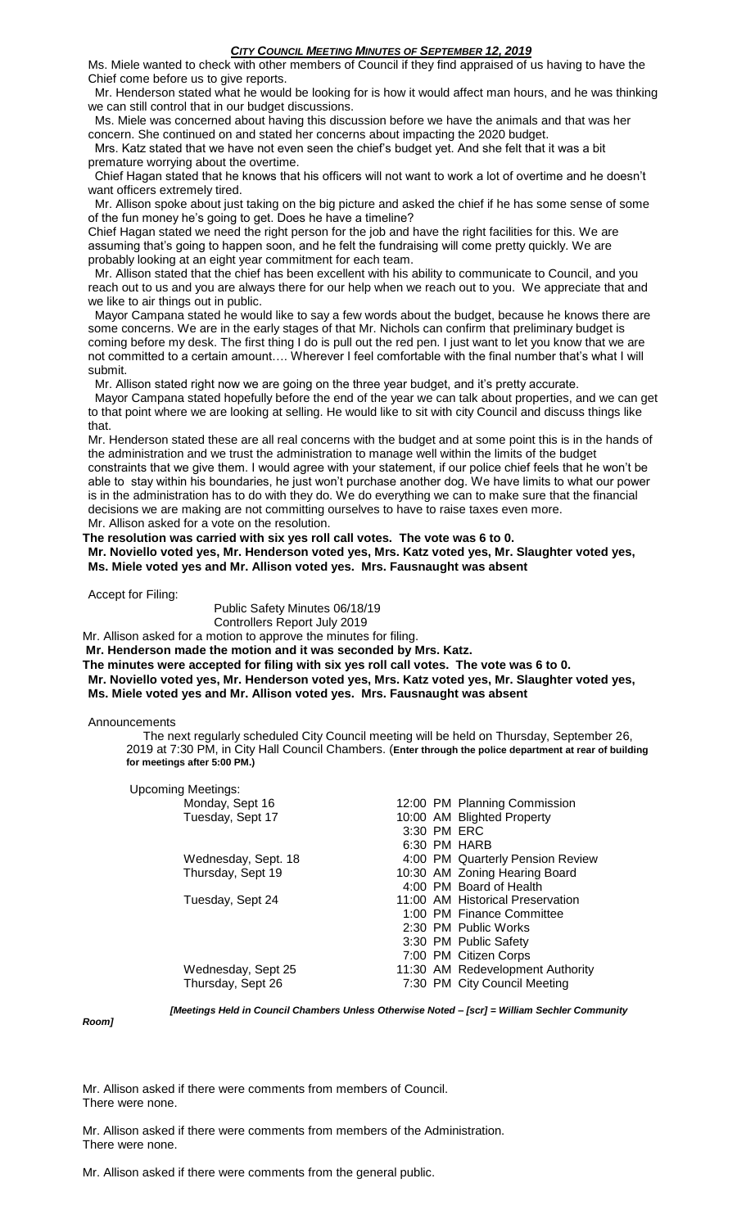Ms. Miele wanted to check with other members of Council if they find appraised of us having to have the Chief come before us to give reports.

 Mr. Henderson stated what he would be looking for is how it would affect man hours, and he was thinking we can still control that in our budget discussions.

 Ms. Miele was concerned about having this discussion before we have the animals and that was her concern. She continued on and stated her concerns about impacting the 2020 budget.

 Mrs. Katz stated that we have not even seen the chief's budget yet. And she felt that it was a bit premature worrying about the overtime.

 Chief Hagan stated that he knows that his officers will not want to work a lot of overtime and he doesn't want officers extremely tired.

 Mr. Allison spoke about just taking on the big picture and asked the chief if he has some sense of some of the fun money he's going to get. Does he have a timeline?

Chief Hagan stated we need the right person for the job and have the right facilities for this. We are assuming that's going to happen soon, and he felt the fundraising will come pretty quickly. We are probably looking at an eight year commitment for each team.

 Mr. Allison stated that the chief has been excellent with his ability to communicate to Council, and you reach out to us and you are always there for our help when we reach out to you. We appreciate that and we like to air things out in public.

 Mayor Campana stated he would like to say a few words about the budget, because he knows there are some concerns. We are in the early stages of that Mr. Nichols can confirm that preliminary budget is coming before my desk. The first thing I do is pull out the red pen. I just want to let you know that we are not committed to a certain amount…. Wherever I feel comfortable with the final number that's what I will submit.

Mr. Allison stated right now we are going on the three year budget, and it's pretty accurate.

 Mayor Campana stated hopefully before the end of the year we can talk about properties, and we can get to that point where we are looking at selling. He would like to sit with city Council and discuss things like that.

Mr. Henderson stated these are all real concerns with the budget and at some point this is in the hands of the administration and we trust the administration to manage well within the limits of the budget constraints that we give them. I would agree with your statement, if our police chief feels that he won't be able to stay within his boundaries, he just won't purchase another dog. We have limits to what our power is in the administration has to do with they do. We do everything we can to make sure that the financial decisions we are making are not committing ourselves to have to raise taxes even more.

Mr. Allison asked for a vote on the resolution.

**The resolution was carried with six yes roll call votes. The vote was 6 to 0.**

**Mr. Noviello voted yes, Mr. Henderson voted yes, Mrs. Katz voted yes, Mr. Slaughter voted yes, Ms. Miele voted yes and Mr. Allison voted yes. Mrs. Fausnaught was absent**

Accept for Filing:

Public Safety Minutes 06/18/19 Controllers Report July 2019

Mr. Allison asked for a motion to approve the minutes for filing.

**Mr. Henderson made the motion and it was seconded by Mrs. Katz.**

**The minutes were accepted for filing with six yes roll call votes. The vote was 6 to 0. Mr. Noviello voted yes, Mr. Henderson voted yes, Mrs. Katz voted yes, Mr. Slaughter voted yes, Ms. Miele voted yes and Mr. Allison voted yes. Mrs. Fausnaught was absent**

Announcements

 The next regularly scheduled City Council meeting will be held on Thursday, September 26, 2019 at 7:30 PM, in City Hall Council Chambers. (**Enter through the police department at rear of building for meetings after 5:00 PM.)**

| <b>Upcoming Meetings:</b> |             |                                  |
|---------------------------|-------------|----------------------------------|
| Monday, Sept 16           |             | 12:00 PM Planning Commission     |
| Tuesday, Sept 17          |             | 10:00 AM Blighted Property       |
|                           | 3:30 PM ERC |                                  |
|                           |             | 6:30 PM HARB                     |
| Wednesday, Sept. 18       |             | 4:00 PM Quarterly Pension Review |
| Thursday, Sept 19         |             | 10:30 AM Zoning Hearing Board    |
|                           |             | 4:00 PM Board of Health          |
| Tuesday, Sept 24          |             | 11:00 AM Historical Preservation |
|                           |             | 1:00 PM Finance Committee        |
|                           |             | 2:30 PM Public Works             |
|                           |             | 3:30 PM Public Safety            |
|                           |             | 7:00 PM Citizen Corps            |
| Wednesday, Sept 25        |             | 11:30 AM Redevelopment Authority |
| Thursday, Sept 26         |             | 7:30 PM City Council Meeting     |

*Room]*

*[Meetings Held in Council Chambers Unless Otherwise Noted – [scr] = William Sechler Community* 

Mr. Allison asked if there were comments from members of Council. There were none.

Mr. Allison asked if there were comments from members of the Administration. There were none.

Mr. Allison asked if there were comments from the general public.